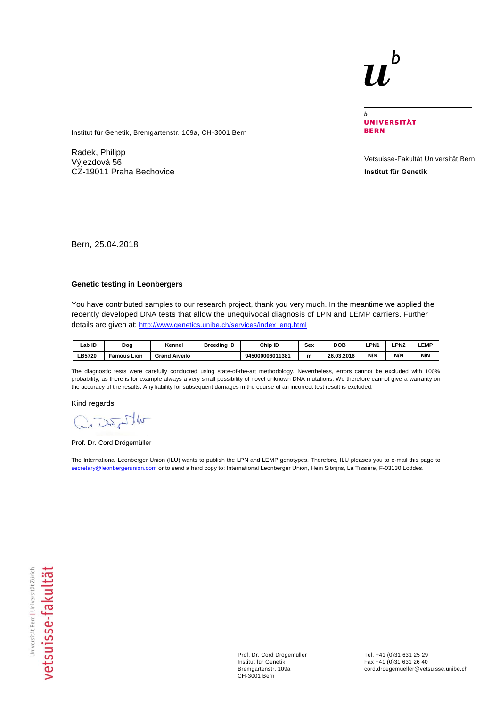## b

 $\overline{b}$ **UNIVERSITÄT BERN** 

**Institut für Genetik, Bremgartenstr. 109a, CH-3001 Bern** 

Radek, Philipp Výjezdová 56 CZ-19011 Praha Bechovice

Vetsuisse-Fakultät Universität Bern **Institut für Genetik**

Bern, 25.04.2018

## **Genetic testing in Leonbergers**

You have contributed samples to our research project, thank you very much. In the meantime we applied the recently developed DNA tests that allow the unequivocal diagnosis of LPN and LEMP carriers. Further details are given at: [http://www.genetics.unibe.ch/services/index\\_eng.html](http://www.genetics.unibe.ch/services/index_eng.html)

| _ab ID       | Dog                     | Kennel               | <b>Breeding ID</b> | Chip ID         | Sex | DOB        | LPN1 | <b>LPN2</b> | <b>LEMP</b> |
|--------------|-------------------------|----------------------|--------------------|-----------------|-----|------------|------|-------------|-------------|
| <b>B5720</b> | Lion<br><b>Famous</b> ' | <b>Grand Aiveilo</b> |                    | 945000006011381 | m   | 26.03.2016 | N/N  | N/N         | N/N         |

The diagnostic tests were carefully conducted using state-of-the-art methodology. Nevertheless, errors cannot be excluded with 100% probability, as there is for example always a very small possibility of novel unknown DNA mutations. We therefore cannot give a warranty on the accuracy of the results. Any liability for subsequent damages in the course of an incorrect test result is excluded.

Kind regards

Crazopho

Prof. Dr. Cord Drögemüller

The International Leonberger Union (ILU) wants to publish the LPN and LEMP genotypes. Therefore, ILU pleases you to e-mail this page to [secretary@leonbergerunion.com](mailto:secretary@leonbergerunion.com) or to send a hard copy to: International Leonberger Union, Hein Sibrijns, La Tissière, F-03130 Loddes.

Prof. Dr. Cord Drögemüller Institut für Genetik Bremgartenstr. 109a CH-3001 Bern